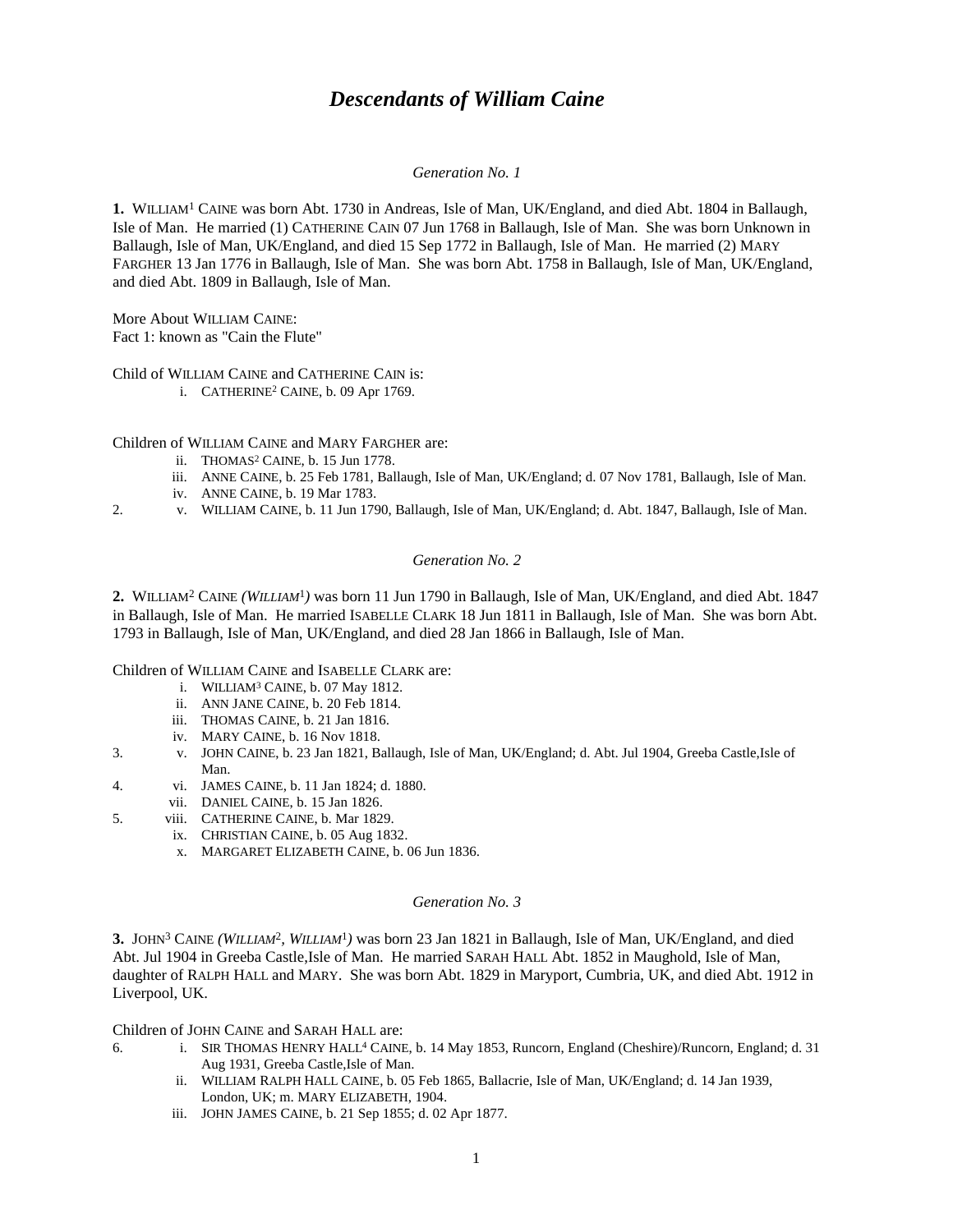# *Descendants of William Caine*

## *Generation No. 1*

**1.** WILLIAM<sup>1</sup> CAINE was born Abt. 1730 in Andreas, Isle of Man, UK/England, and died Abt. 1804 in Ballaugh, Isle of Man. He married (1) CATHERINE CAIN 07 Jun 1768 in Ballaugh, Isle of Man. She was born Unknown in Ballaugh, Isle of Man, UK/England, and died 15 Sep 1772 in Ballaugh, Isle of Man. He married (2) MARY FARGHER 13 Jan 1776 in Ballaugh, Isle of Man. She was born Abt. 1758 in Ballaugh, Isle of Man, UK/England, and died Abt. 1809 in Ballaugh, Isle of Man.

More About WILLIAM CAINE: Fact 1: known as "Cain the Flute"

Child of WILLIAM CAINE and CATHERINE CAIN is:

i. CATHERINE<sup>2</sup> CAINE, b. 09 Apr 1769.

Children of WILLIAM CAINE and MARY FARGHER are:

- ii. THOMAS<sup>2</sup> CAINE, b. 15 Jun 1778.
- iii. ANNE CAINE, b. 25 Feb 1781, Ballaugh, Isle of Man, UK/England; d. 07 Nov 1781, Ballaugh, Isle of Man.
- iv. ANNE CAINE, b. 19 Mar 1783.
- 2. v. WILLIAM CAINE, b. 11 Jun 1790, Ballaugh, Isle of Man, UK/England; d. Abt. 1847, Ballaugh, Isle of Man.

## *Generation No. 2*

**2.** WILLIAM<sup>2</sup> CAINE *(WILLIAM*<sup>1</sup> *)* was born 11 Jun 1790 in Ballaugh, Isle of Man, UK/England, and died Abt. 1847 in Ballaugh, Isle of Man. He married ISABELLE CLARK 18 Jun 1811 in Ballaugh, Isle of Man. She was born Abt. 1793 in Ballaugh, Isle of Man, UK/England, and died 28 Jan 1866 in Ballaugh, Isle of Man.

Children of WILLIAM CAINE and ISABELLE CLARK are:

- i. WILLIAM<sup>3</sup> CAINE, b. 07 May 1812.
- ii. ANN JANE CAINE, b. 20 Feb 1814.
- iii. THOMAS CAINE, b. 21 Jan 1816.
- iv. MARY CAINE, b. 16 Nov 1818.
- 3. v. JOHN CAINE, b. 23 Jan 1821, Ballaugh, Isle of Man, UK/England; d. Abt. Jul 1904, Greeba Castle,Isle of Man.
- 4. vi. JAMES CAINE, b. 11 Jan 1824; d. 1880.
	- vii. DANIEL CAINE, b. 15 Jan 1826.
- 5. viii. CATHERINE CAINE, b. Mar 1829.
	- ix. CHRISTIAN CAINE, b. 05 Aug 1832.
		- x. MARGARET ELIZABETH CAINE, b. 06 Jun 1836.

## *Generation No. 3*

**3.** JOHN<sup>3</sup> CAINE *(WILLIAM*<sup>2</sup> *, WILLIAM*<sup>1</sup> *)* was born 23 Jan 1821 in Ballaugh, Isle of Man, UK/England, and died Abt. Jul 1904 in Greeba Castle,Isle of Man. He married SARAH HALL Abt. 1852 in Maughold, Isle of Man, daughter of RALPH HALL and MARY. She was born Abt. 1829 in Maryport, Cumbria, UK, and died Abt. 1912 in Liverpool, UK.

Children of JOHN CAINE and SARAH HALL are:

- 6. i. SIR THOMAS HENRY HALL<sup>4</sup> CAINE, b. 14 May 1853, Runcorn, England (Cheshire)/Runcorn, England; d. 31 Aug 1931, Greeba Castle,Isle of Man.
	- ii. WILLIAM RALPH HALL CAINE, b. 05 Feb 1865, Ballacrie, Isle of Man, UK/England; d. 14 Jan 1939, London, UK; m. MARY ELIZABETH, 1904.
	- iii. JOHN JAMES CAINE, b. 21 Sep 1855; d. 02 Apr 1877.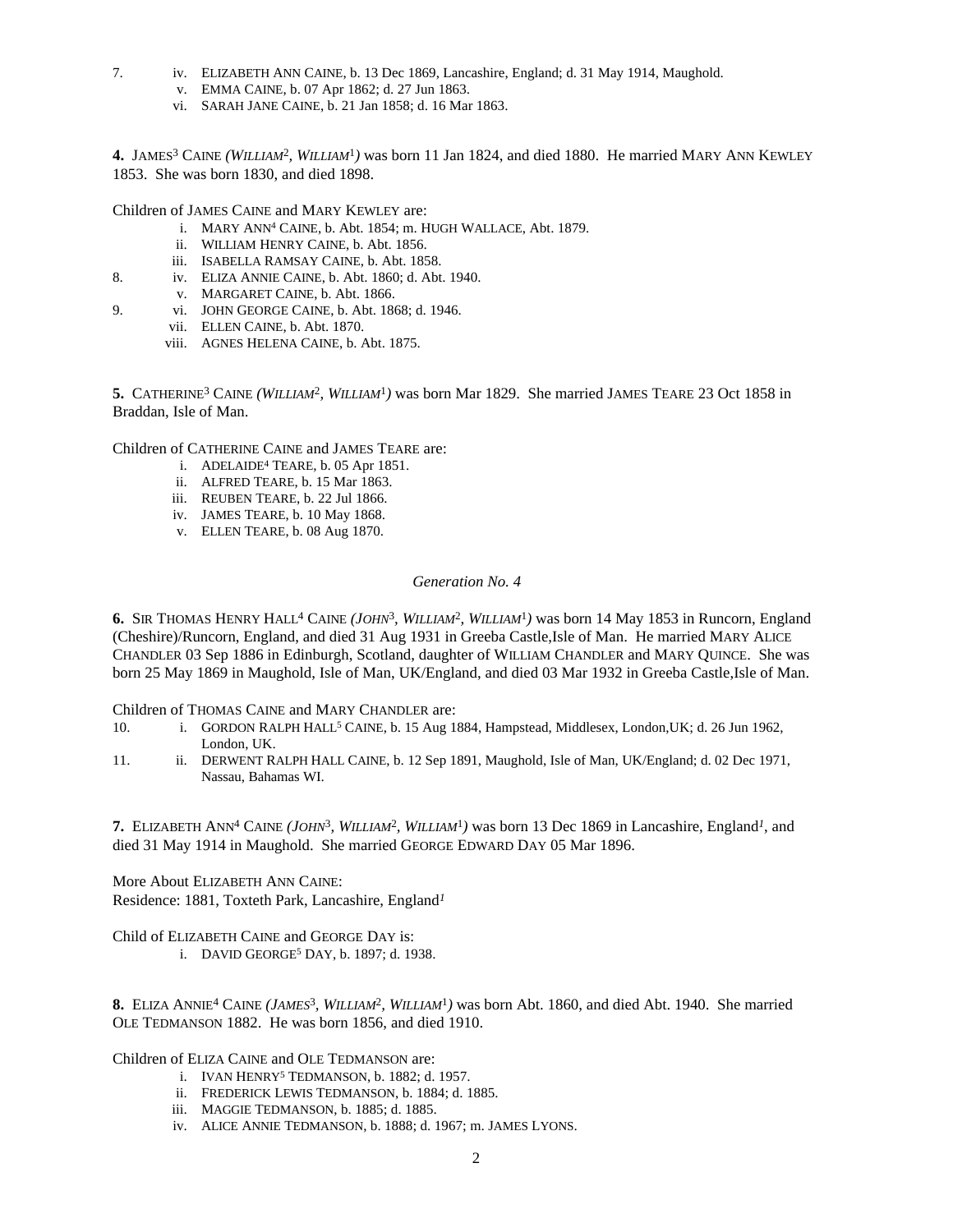- 7. iv. ELIZABETH ANN CAINE, b. 13 Dec 1869, Lancashire, England; d. 31 May 1914, Maughold.
	- v. EMMA CAINE, b. 07 Apr 1862; d. 27 Jun 1863.
	- vi. SARAH JANE CAINE, b. 21 Jan 1858; d. 16 Mar 1863.

4. JAMES<sup>3</sup> CAINE *(WILLIAM<sup>2</sup>, WILLIAM<sup>1</sup>)* was born 11 Jan 1824, and died 1880. He married MARY ANN KEWLEY 1853. She was born 1830, and died 1898.

Children of JAMES CAINE and MARY KEWLEY are:

- i. MARY ANN<sup>4</sup> CAINE, b. Abt. 1854; m. HUGH WALLACE, Abt. 1879.
- ii. WILLIAM HENRY CAINE, b. Abt. 1856.
- iii. ISABELLA RAMSAY CAINE, b. Abt. 1858.
- 8. iv. ELIZA ANNIE CAINE, b. Abt. 1860; d. Abt. 1940.
	- v. MARGARET CAINE, b. Abt. 1866.
- 9. vi. JOHN GEORGE CAINE, b. Abt. 1868; d. 1946.
	- vii. ELLEN CAINE, b. Abt. 1870.
	- viii. AGNES HELENA CAINE, b. Abt. 1875.

5. CATHERINE<sup>3</sup> CAINE *(WILLIAM<sup>2</sup>, WILLIAM<sup>1</sup>)* was born Mar 1829. She married JAMES TEARE 23 Oct 1858 in Braddan, Isle of Man.

Children of CATHERINE CAINE and JAMES TEARE are:

- i. ADELAIDE<sup>4</sup> TEARE, b. 05 Apr 1851.
- ii. ALFRED TEARE, b. 15 Mar 1863.
- iii. REUBEN TEARE, b. 22 Jul 1866.
- iv. JAMES TEARE, b. 10 May 1868.
- v. ELLEN TEARE, b. 08 Aug 1870.

# *Generation No. 4*

**6.** SIR THOMAS HENRY HALL<sup>4</sup> CAINE *(JOHN*<sup>3</sup> *, WILLIAM*<sup>2</sup> *, WILLIAM*<sup>1</sup> *)* was born 14 May 1853 in Runcorn, England (Cheshire)/Runcorn, England, and died 31 Aug 1931 in Greeba Castle,Isle of Man. He married MARY ALICE CHANDLER 03 Sep 1886 in Edinburgh, Scotland, daughter of WILLIAM CHANDLER and MARY QUINCE. She was born 25 May 1869 in Maughold, Isle of Man, UK/England, and died 03 Mar 1932 in Greeba Castle,Isle of Man.

Children of THOMAS CAINE and MARY CHANDLER are:

- 10. i. GORDON RALPH HALL<sup>5</sup> CAINE, b. 15 Aug 1884, Hampstead, Middlesex, London, UK; d. 26 Jun 1962, London, UK.
- 11. ii. DERWENT RALPH HALL CAINE, b. 12 Sep 1891, Maughold, Isle of Man, UK/England; d. 02 Dec 1971, Nassau, Bahamas WI.

**7.** ELIZABETH ANN<sup>4</sup> CAINE *(JOHN*<sup>3</sup> *, WILLIAM*<sup>2</sup> *, WILLIAM*<sup>1</sup> *)* was born 13 Dec 1869 in Lancashire, England*<sup>1</sup>* , and died 31 May 1914 in Maughold. She married GEORGE EDWARD DAY 05 Mar 1896.

More About ELIZABETH ANN CAINE: Residence: 1881, Toxteth Park, Lancashire, England*<sup>1</sup>*

Child of ELIZABETH CAINE and GEORGE DAY is:

i. DAVID GEORGE<sup>5</sup> DAY, b. 1897; d. 1938.

8. ELIZA ANNIE<sup>4</sup> CAINE (*JAMES*<sup>3</sup>, *WILLIAM<sup>2</sup>*, *WILLIAM<sup>1</sup>*) was born Abt. 1860, and died Abt. 1940. She married OLE TEDMANSON 1882. He was born 1856, and died 1910.

Children of ELIZA CAINE and OLE TEDMANSON are:

- i. IVAN HENRY<sup>5</sup> TEDMANSON, b. 1882; d. 1957.
- ii. FREDERICK LEWIS TEDMANSON, b. 1884; d. 1885.
- iii. MAGGIE TEDMANSON, b. 1885; d. 1885.
- iv. ALICE ANNIE TEDMANSON, b. 1888; d. 1967; m. JAMES LYONS.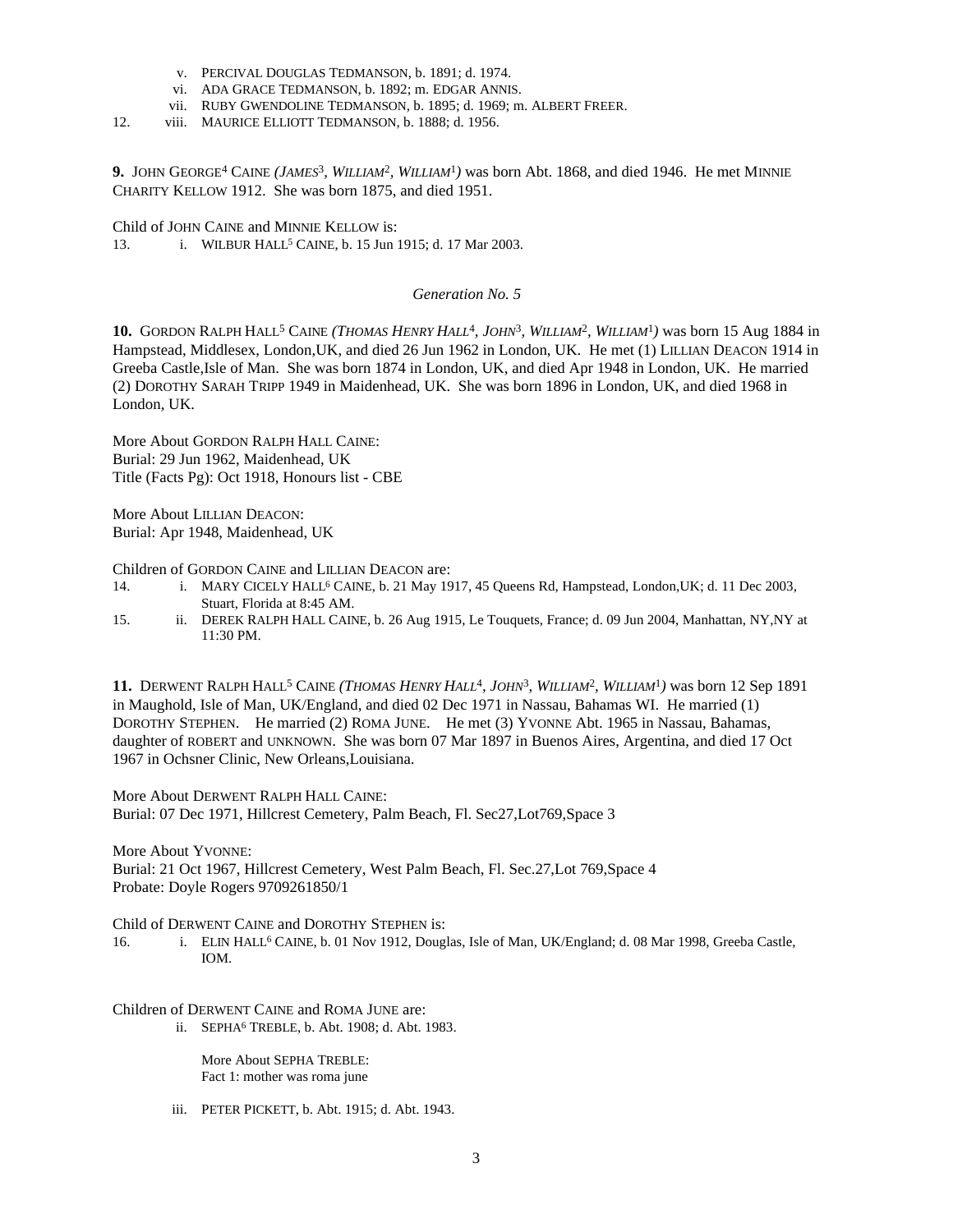- v. PERCIVAL DOUGLAS TEDMANSON, b. 1891; d. 1974.
- vi. ADA GRACE TEDMANSON, b. 1892; m. EDGAR ANNIS.
- vii. RUBY GWENDOLINE TEDMANSON, b. 1895; d. 1969; m. ALBERT FREER.
- 12. viii. MAURICE ELLIOTT TEDMANSON, b. 1888; d. 1956.

**9.** JOHN GEORGE<sup>4</sup> CAINE *(JAMES*<sup>3</sup> *, WILLIAM*<sup>2</sup> *, WILLIAM*<sup>1</sup> *)* was born Abt. 1868, and died 1946. He met MINNIE CHARITY KELLOW 1912. She was born 1875, and died 1951.

Child of JOHN CAINE and MINNIE KELLOW is:

13. i. WILBUR HALL<sup>5</sup> CAINE, b. 15 Jun 1915; d. 17 Mar 2003.

#### *Generation No. 5*

10. GORDON RALPH HALL<sup>5</sup> CAINE (THOMAS HENRY HALL<sup>4</sup>, JOHN<sup>3</sup>, WILLIAM<sup>2</sup>, WILLIAM<sup>1</sup>) was born 15 Aug 1884 in Hampstead, Middlesex, London,UK, and died 26 Jun 1962 in London, UK. He met (1) LILLIAN DEACON 1914 in Greeba Castle,Isle of Man. She was born 1874 in London, UK, and died Apr 1948 in London, UK. He married (2) DOROTHY SARAH TRIPP 1949 in Maidenhead, UK. She was born 1896 in London, UK, and died 1968 in London, UK.

More About GORDON RALPH HALL CAINE: Burial: 29 Jun 1962, Maidenhead, UK Title (Facts Pg): Oct 1918, Honours list - CBE

More About LILLIAN DEACON: Burial: Apr 1948, Maidenhead, UK

Children of GORDON CAINE and LILLIAN DEACON are:

- 14. i. MARY CICELY HALL<sup>6</sup> CAINE, b. 21 May 1917, 45 Queens Rd, Hampstead, London, UK; d. 11 Dec 2003, Stuart, Florida at 8:45 AM.
- 15. ii. DEREK RALPH HALL CAINE, b. 26 Aug 1915, Le Touquets, France; d. 09 Jun 2004, Manhattan, NY,NY at 11:30 PM.

**11.** DERWENT RALPH HALL<sup>5</sup> CAINE *(THOMAS HENRY HALL*<sup>4</sup> *, JOHN*<sup>3</sup> *, WILLIAM*<sup>2</sup> *, WILLIAM*<sup>1</sup> *)* was born 12 Sep 1891 in Maughold, Isle of Man, UK/England, and died 02 Dec 1971 in Nassau, Bahamas WI. He married (1) DOROTHY STEPHEN. He married (2) ROMA JUNE. He met (3) YVONNE Abt. 1965 in Nassau, Bahamas, daughter of ROBERT and UNKNOWN. She was born 07 Mar 1897 in Buenos Aires, Argentina, and died 17 Oct 1967 in Ochsner Clinic, New Orleans,Louisiana.

More About DERWENT RALPH HALL CAINE: Burial: 07 Dec 1971, Hillcrest Cemetery, Palm Beach, Fl. Sec27,Lot769,Space 3

More About YVONNE: Burial: 21 Oct 1967, Hillcrest Cemetery, West Palm Beach, Fl. Sec.27,Lot 769,Space 4 Probate: Doyle Rogers 9709261850/1

Child of DERWENT CAINE and DOROTHY STEPHEN is:

16. i. ELIN HALL<sup>6</sup> CAINE, b. 01 Nov 1912, Douglas, Isle of Man, UK/England; d. 08 Mar 1998, Greeba Castle, IOM.

Children of DERWENT CAINE and ROMA JUNE are:

ii. SEPHA<sup>6</sup> TREBLE, b. Abt. 1908; d. Abt. 1983.

More About SEPHA TREBLE: Fact 1: mother was roma june

iii. PETER PICKETT, b. Abt. 1915; d. Abt. 1943.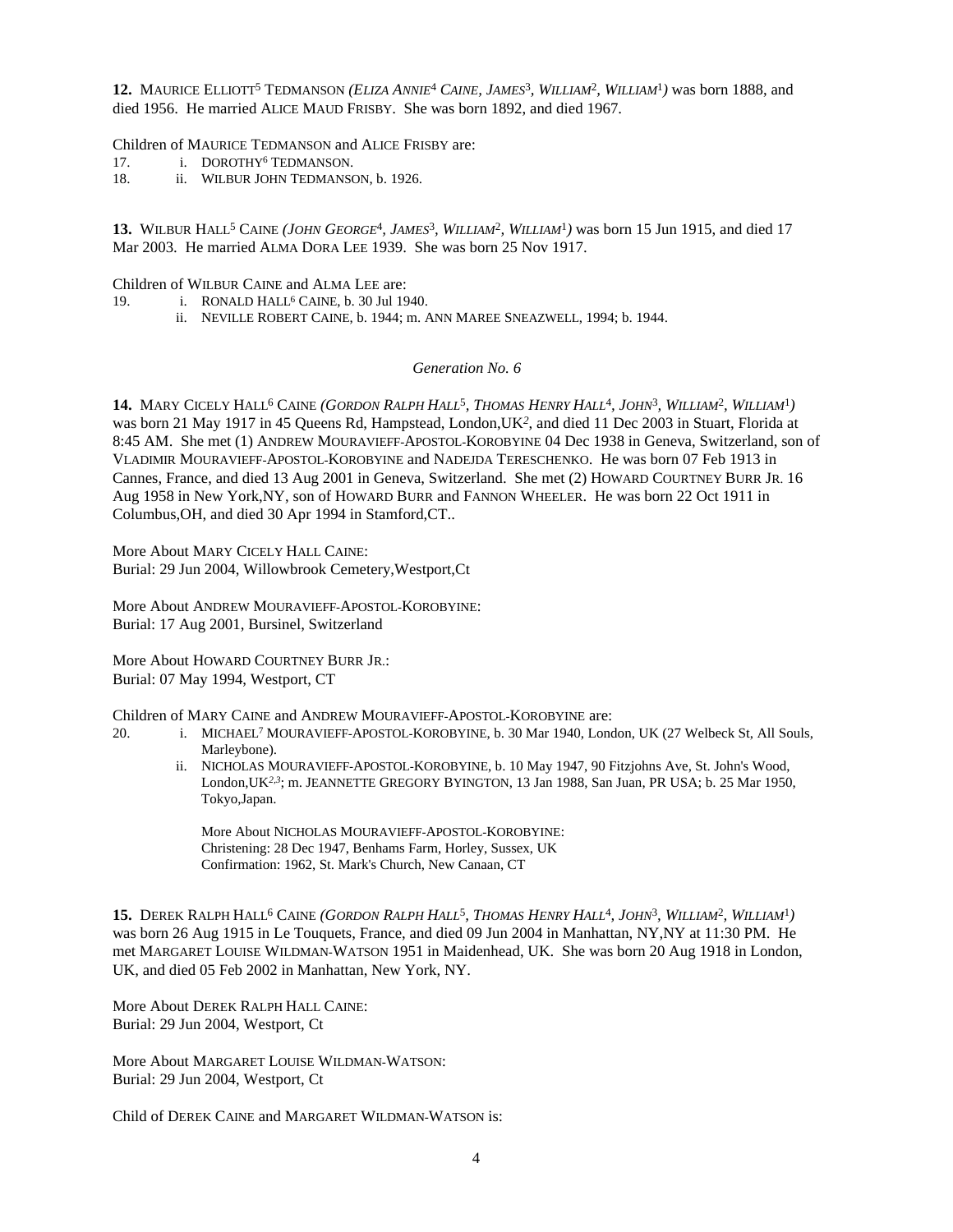**12.** MAURICE ELLIOTT<sup>5</sup> TEDMANSON *(ELIZA ANNIE*<sup>4</sup>  *CAINE, JAMES*<sup>3</sup> *, WILLIAM*<sup>2</sup> *, WILLIAM*<sup>1</sup> *)* was born 1888, and died 1956. He married ALICE MAUD FRISBY. She was born 1892, and died 1967.

Children of MAURICE TEDMANSON and ALICE FRISBY are:

- 17. i. DOROTHY<sup>6</sup> TEDMANSON.
- 18. ii. WILBUR JOHN TEDMANSON, b. 1926.

13. WILBUR HALL<sup>5</sup> CAINE (JOHN GEORGE<sup>4</sup>, JAMES<sup>3</sup>, WILLIAM<sup>2</sup>, WILLIAM<sup>1</sup>) was born 15 Jun 1915, and died 17 Mar 2003. He married ALMA DORA LEE 1939. She was born 25 Nov 1917.

Children of WILBUR CAINE and ALMA LEE are:

- 19. i. RONALD HALL<sup>6</sup> CAINE, b. 30 Jul 1940.
	- ii. NEVILLE ROBERT CAINE, b. 1944; m. ANN MAREE SNEAZWELL, 1994; b. 1944.

## *Generation No. 6*

14. MARY CICELY HALL<sup>6</sup> CAINE (GORDON RALPH HALL<sup>5</sup>, THOMAS HENRY HALL<sup>4</sup>, JOHN<sup>3</sup>, WILLIAM<sup>2</sup>, WILLIAM<sup>1</sup>) was born 21 May 1917 in 45 Queens Rd, Hampstead, London,UK*<sup>2</sup>* , and died 11 Dec 2003 in Stuart, Florida at 8:45 AM. She met (1) ANDREW MOURAVIEFF-APOSTOL-KOROBYINE 04 Dec 1938 in Geneva, Switzerland, son of VLADIMIR MOURAVIEFF-APOSTOL-KOROBYINE and NADEJDA TERESCHENKO. He was born 07 Feb 1913 in Cannes, France, and died 13 Aug 2001 in Geneva, Switzerland. She met (2) HOWARD COURTNEY BURR JR. 16 Aug 1958 in New York,NY, son of HOWARD BURR and FANNON WHEELER. He was born 22 Oct 1911 in Columbus,OH, and died 30 Apr 1994 in Stamford,CT..

More About MARY CICELY HALL CAINE: Burial: 29 Jun 2004, Willowbrook Cemetery,Westport,Ct

More About ANDREW MOURAVIEFF-APOSTOL-KOROBYINE: Burial: 17 Aug 2001, Bursinel, Switzerland

More About HOWARD COURTNEY BURR JR.: Burial: 07 May 1994, Westport, CT

Children of MARY CAINE and ANDREW MOURAVIEFF-APOSTOL-KOROBYINE are:

- 20. i. MICHAEL<sup>7</sup> MOURAVIEFF-APOSTOL-KOROBYINE, b. 30 Mar 1940, London, UK (27 Welbeck St, All Souls, Marleybone).
	- ii. NICHOLAS MOURAVIEFF-APOSTOL-KOROBYINE, b. 10 May 1947, 90 Fitzjohns Ave, St. John's Wood, London,UK*2,3*; m. JEANNETTE GREGORY BYINGTON, 13 Jan 1988, San Juan, PR USA; b. 25 Mar 1950, Tokyo,Japan.

More About NICHOLAS MOURAVIEFF-APOSTOL-KOROBYINE: Christening: 28 Dec 1947, Benhams Farm, Horley, Sussex, UK Confirmation: 1962, St. Mark's Church, New Canaan, CT

15. DEREK RALPH HALL<sup>6</sup> CAINE (GORDON RALPH HALL<sup>5</sup>, THOMAS HENRY HALL<sup>4</sup>, JOHN<sup>3</sup>, WILLIAM<sup>2</sup>, WILLIAM<sup>1</sup>) was born 26 Aug 1915 in Le Touquets, France, and died 09 Jun 2004 in Manhattan, NY,NY at 11:30 PM. He met MARGARET LOUISE WILDMAN-WATSON 1951 in Maidenhead, UK. She was born 20 Aug 1918 in London, UK, and died 05 Feb 2002 in Manhattan, New York, NY.

More About DEREK RALPH HALL CAINE: Burial: 29 Jun 2004, Westport, Ct

More About MARGARET LOUISE WILDMAN-WATSON: Burial: 29 Jun 2004, Westport, Ct

Child of DEREK CAINE and MARGARET WILDMAN-WATSON is: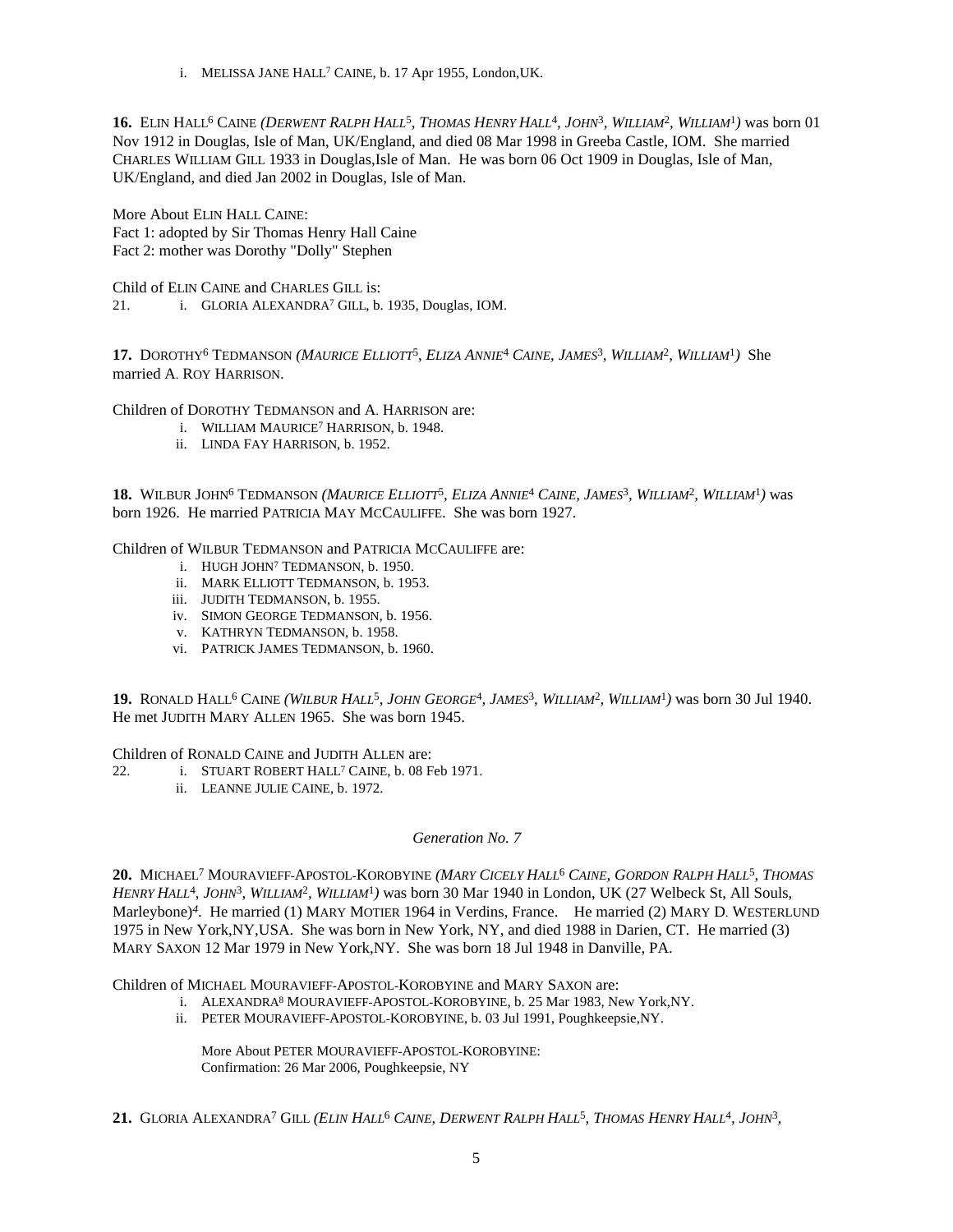i. MELISSA JANE HALL<sup>7</sup> CAINE, b. 17 Apr 1955, London,UK.

**16.** ELIN HALL<sup>6</sup> CAINE (DERWENT RALPH HALL<sup>5</sup>, THOMAS HENRY HALL<sup>4</sup>, JOHN<sup>3</sup>, WILLIAM<sup>2</sup>, WILLIAM<sup>1</sup>) was born 01 Nov 1912 in Douglas, Isle of Man, UK/England, and died 08 Mar 1998 in Greeba Castle, IOM. She married CHARLES WILLIAM GILL 1933 in Douglas,Isle of Man. He was born 06 Oct 1909 in Douglas, Isle of Man, UK/England, and died Jan 2002 in Douglas, Isle of Man.

More About ELIN HALL CAINE: Fact 1: adopted by Sir Thomas Henry Hall Caine Fact 2: mother was Dorothy "Dolly" Stephen

Child of ELIN CAINE and CHARLES GILL is: 21. i. GLORIA ALEXANDRA<sup>7</sup> GILL, b. 1935, Douglas, IOM.

17. DOROTHY<sup>6</sup> TEDMANSON (MAURICE ELLIOTT<sup>5</sup>, ELIZA ANNIE<sup>4</sup> CAINE, JAMES<sup>3</sup>, WILLIAM<sup>2</sup>, WILLIAM<sup>1</sup>) She married A. ROY HARRISON.

Children of DOROTHY TEDMANSON and A. HARRISON are:

- i. WILLIAM MAURICE<sup>7</sup> HARRISON, b. 1948.
- ii. LINDA FAY HARRISON, b. 1952.

**18.** WILBUR JOHN<sup>6</sup> TEDMANSON (MAURICE ELLIOTT<sup>5</sup>, ELIZA ANNIE<sup>4</sup> CAINE, JAMES<sup>3</sup>, WILLIAM<sup>2</sup>, WILLIAM<sup>1</sup>) was born 1926. He married PATRICIA MAY MCCAULIFFE. She was born 1927.

Children of WILBUR TEDMANSON and PATRICIA MCCAULIFFE are:

- i. HUGH JOHN<sup>7</sup> TEDMANSON, b. 1950.
- ii. MARK ELLIOTT TEDMANSON, b. 1953.
- iii. JUDITH TEDMANSON, b. 1955.
- iv. SIMON GEORGE TEDMANSON, b. 1956.
- v. KATHRYN TEDMANSON, b. 1958.
- vi. PATRICK JAMES TEDMANSON, b. 1960.

**19.** RONALD HALL<sup>6</sup> CAINE *(WILBUR HALL*<sup>5</sup> *, JOHN GEORGE*<sup>4</sup> *, JAMES*<sup>3</sup> *, WILLIAM*<sup>2</sup> *, WILLIAM*<sup>1</sup> *)* was born 30 Jul 1940. He met JUDITH MARY ALLEN 1965. She was born 1945.

Children of RONALD CAINE and JUDITH ALLEN are:

- 22. i. STUART ROBERT HALL<sup>7</sup> CAINE, b. 08 Feb 1971.
	- ii. LEANNE JULIE CAINE, b. 1972.

# *Generation No. 7*

**20.** MICHAEL<sup>7</sup> MOURAVIEFF-APOSTOL-KOROBYINE *(MARY CICELY HALL*<sup>6</sup>  *CAINE, GORDON RALPH HALL*<sup>5</sup> *, THOMAS HENRY HALL*<sup>4</sup> *, JOHN*<sup>3</sup> *, WILLIAM*<sup>2</sup> *, WILLIAM*<sup>1</sup> *)* was born 30 Mar 1940 in London, UK (27 Welbeck St, All Souls, Marleybone)*<sup>4</sup>* . He married (1) MARY MOTIER 1964 in Verdins, France. He married (2) MARY D. WESTERLUND 1975 in New York,NY,USA. She was born in New York, NY, and died 1988 in Darien, CT. He married (3) MARY SAXON 12 Mar 1979 in New York,NY. She was born 18 Jul 1948 in Danville, PA.

Children of MICHAEL MOURAVIEFF-APOSTOL-KOROBYINE and MARY SAXON are:

- i. ALEXANDRA<sup>8</sup> MOURAVIEFF-APOSTOL-KOROBYINE, b. 25 Mar 1983, New York,NY.
- ii. PETER MOURAVIEFF-APOSTOL-KOROBYINE, b. 03 Jul 1991, Poughkeepsie,NY.

More About PETER MOURAVIEFF-APOSTOL-KOROBYINE: Confirmation: 26 Mar 2006, Poughkeepsie, NY

21. GLORIA ALEXANDRA<sup>7</sup> GILL (ELIN HALL<sup>6</sup> CAINE, DERWENT RALPH HALL<sup>5</sup>, THOMAS HENRY HALL<sup>4</sup>, JOHN<sup>3</sup>,